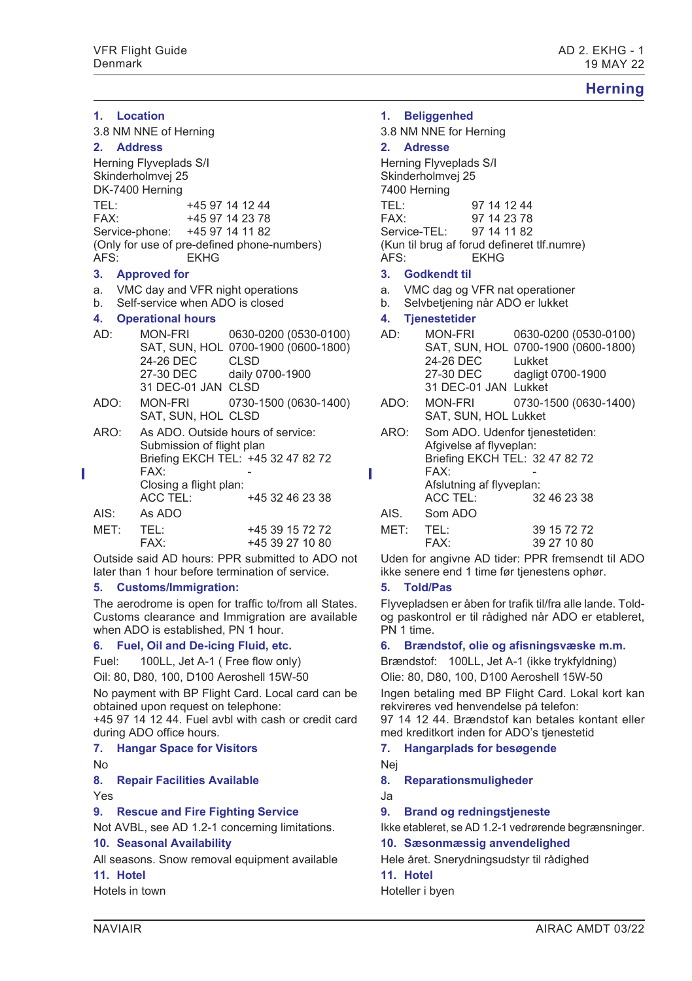# **Herning**

|                                        | 1. Location                            |                                                                |                                             |  |  |  |
|----------------------------------------|----------------------------------------|----------------------------------------------------------------|---------------------------------------------|--|--|--|
|                                        | 3.8 NM NNE of Herning                  |                                                                |                                             |  |  |  |
|                                        | 2. Address                             |                                                                |                                             |  |  |  |
|                                        |                                        | Herning Flyveplads S/I<br>Skinderholmvej 25<br>DK-7400 Herning |                                             |  |  |  |
|                                        | TEL:                                   |                                                                | +45 97 14 12 44                             |  |  |  |
|                                        | FAX <sup>.</sup>                       | +45 97 14 23 78                                                |                                             |  |  |  |
|                                        |                                        | Service-phone: +45 97 14 11 82                                 |                                             |  |  |  |
|                                        | AFS:                                   | <b>FKHG</b>                                                    | (Only for use of pre-defined phone-numbers) |  |  |  |
|                                        | 3. Approved for                        |                                                                |                                             |  |  |  |
|                                        | VMC day and VFR night operations<br>а. |                                                                |                                             |  |  |  |
| Self-service when ADO is closed<br>h — |                                        |                                                                |                                             |  |  |  |
|                                        |                                        | 4. Operational hours                                           |                                             |  |  |  |
|                                        | AD∙                                    | <b>MON-FRI</b>                                                 | 0630-0200 (0530-0100)                       |  |  |  |
|                                        |                                        | 24-26 DEC CLSD                                                 | SAT, SUN, HOL 0700-1900 (0600-1800)         |  |  |  |
|                                        |                                        |                                                                | 27-30 DEC daily 0700-1900                   |  |  |  |
|                                        |                                        | 31 DEC-01 JAN CLSD                                             |                                             |  |  |  |
|                                        | ADO:                                   | MON-FRI<br>SAT, SUN, HOL CLSD                                  | 0730-1500 (0630-1400)                       |  |  |  |
|                                        | ARO:                                   |                                                                | As ADO. Outside hours of service:           |  |  |  |
|                                        |                                        | Submission of flight plan                                      |                                             |  |  |  |
|                                        |                                        |                                                                | Briefing EKCH TEL: +45 32 47 82 72          |  |  |  |
|                                        |                                        | FAX <sup>.</sup>                                               |                                             |  |  |  |
|                                        |                                        | Closing a flight plan:<br><b>ACC TEL:</b>                      | +45 32 46 23 38                             |  |  |  |
|                                        | AIS:                                   | As ADO                                                         |                                             |  |  |  |
|                                        | MET:                                   | TEL:                                                           | +45 39 15 72 72                             |  |  |  |
|                                        |                                        | FAX:                                                           | +45 39 27 10 80                             |  |  |  |
|                                        |                                        |                                                                |                                             |  |  |  |

Outside said AD hours: PPR submitted to ADO not later than 1 hour before termination of service.

### **5. Customs/Immigration:**

The aerodrome is open for traffic to/from all States. Customs clearance and Immigration are available when ADO is established, PN 1 hour.

#### **6. Fuel, Oil and De-icing Fluid, etc.**

Fuel: 100LL, Jet A-1 ( Free flow only) Oil: 80, D80, 100, D100 Aeroshell 15W-50

No payment with BP Flight Card. Local card can be obtained upon request on telephone:

+45 97 14 12 44. Fuel avbl with cash or credit card during ADO office hours.

#### **7. Hangar Space for Visitors**

No

### **8. Repair Facilities Available**

Yes

## **9. Rescue and Fire Fighting Service**

Not AVBL, see AD 1.2-1 concerning limitations.

### **10. Seasonal Availability**

All seasons. Snow removal equipment available

# **11. Hotel**

Hotels in town

# **1. Beliggenhed**

3.8 NM NNE for Herning **2. Adresse** Herning Flyveplads S/I Skinderholmvej 25 7400 Herning TEL: 97 14 12 44 FAX: 97 14 23 78 Service-TEL: 97 14 11 82 (Kun til brug af forud defineret tlf.numre) AFS: EKHG **3. Godkendt til** a. VMC dag og VFR nat operationer b. Selvbetjening når ADO er lukket **4. Tjenestetider** AD: MON-FRI 0630-0200 (0530-0100) SAT, SUN, HOL 0700-1900 (0600-1800) 24-26 DEC Lukket

27-30 DEC dagligt 0700-1900 31 DEC-01 JAN Lukket ADO: MON-FRI 0730-1500 (0630-1400) SAT, SUN, HOL Lukket ARO: Som ADO. Udenfor tienestetiden: Afgivelse af flyveplan: Briefing EKCH TEL: 32 47 82 72 FAX: Afslutning af flyveplan:<br>ACC TEL: 32 32 46 23 38 AIS. Som ADO MET: TEL: 39 15 72 72

FAX: 39 27 10 80 Uden for angivne AD tider: PPR fremsendt til ADO

ikke senere end 1 time før tjenestens ophør.

### **5. Told/Pas**

Flyvepladsen er åben for trafik til/fra alle lande. Toldog paskontrol er til rådighed når ADO er etableret, PN 1 time.

# **6. Brændstof, olie og afisningsvæske m.m.**

Brændstof: 100LL, Jet A-1 (ikke trykfyldning) Olie: 80, D80, 100, D100 Aeroshell 15W-50

Ingen betaling med BP Flight Card. Lokal kort kan rekvireres ved henvendelse på telefon:

97 14 12 44. Brændstof kan betales kontant eller med kreditkort inden for ADO's tjenestetid

## **7. Hangarplads for besøgende**

Nej

**8. Reparationsmuligheder**

Ja

### **9. Brand og redningstjeneste**

Ikke etableret, se AD 1.2-1 vedrørende begrænsninger.

# **10. Sæsonmæssig anvendelighed**

Hele året. Snerydningsudstyr til rådighed

**11. Hotel** Hoteller i byen